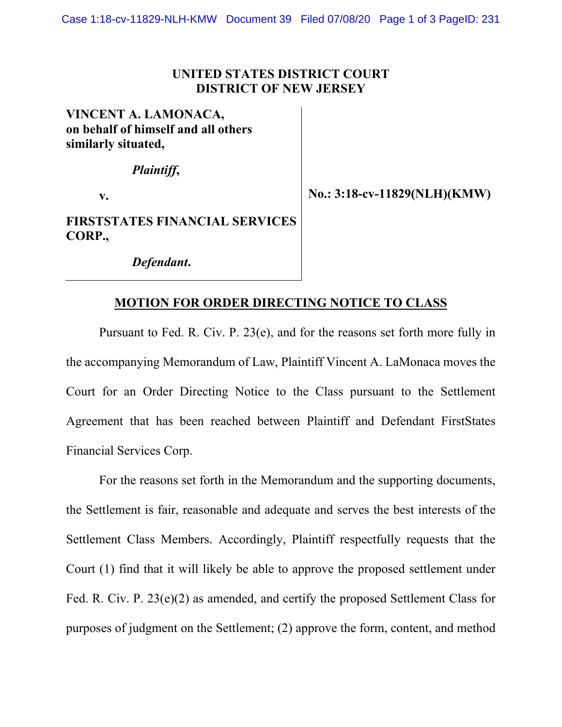## **UNITED STATES DISTRICT COURT DISTRICT OF NEW JERSEY**

**VINCENT A. LAMONACA, on behalf of himself and all others similarly situated,** 

*Plaintiff***,** 

**v.** 

**No.: 3:18-cv-11829(NLH)(KMW)** 

**FIRSTSTATES FINANCIAL SERVICES CORP.,** 

*Defendant***.** 

## **MOTION FOR ORDER DIRECTING NOTICE TO CLASS**

Pursuant to Fed. R. Civ. P. 23(e), and for the reasons set forth more fully in the accompanying Memorandum of Law, Plaintiff Vincent A. LaMonaca moves the Court for an Order Directing Notice to the Class pursuant to the Settlement Agreement that has been reached between Plaintiff and Defendant FirstStates Financial Services Corp.

For the reasons set forth in the Memorandum and the supporting documents, the Settlement is fair, reasonable and adequate and serves the best interests of the Settlement Class Members. Accordingly, Plaintiff respectfully requests that the Court (1) find that it will likely be able to approve the proposed settlement under Fed. R. Civ. P. 23(e)(2) as amended, and certify the proposed Settlement Class for purposes of judgment on the Settlement; (2) approve the form, content, and method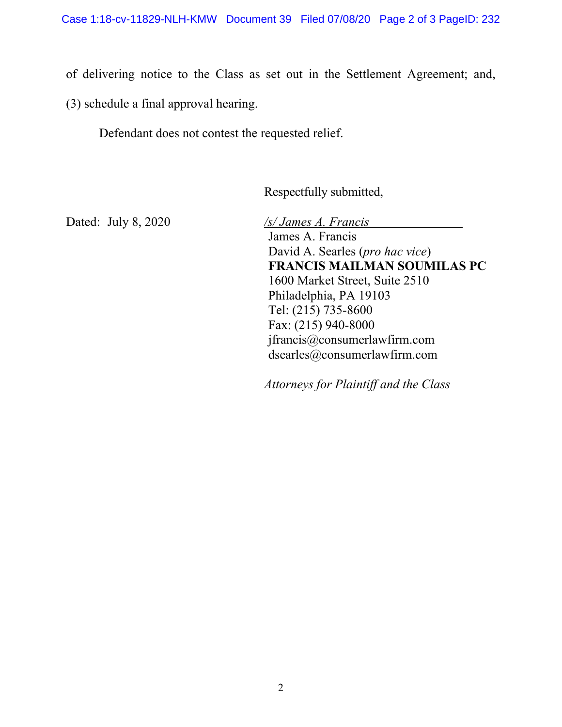of delivering notice to the Class as set out in the Settlement Agreement; and,

(3) schedule a final approval hearing.

Defendant does not contest the requested relief.

Respectfully submitted,

Dated: July 8, 2020 */s/ James A. Francis* James A. Francis David A. Searles (*pro hac vice*) **FRANCIS MAILMAN SOUMILAS PC** 1600 Market Street, Suite 2510 Philadelphia, PA 19103 Tel: (215) 735-8600 Fax: (215) 940-8000 jfrancis@consumerlawfirm.com

*Attorneys for Plaintiff and the Class* 

dsearles@consumerlawfirm.com